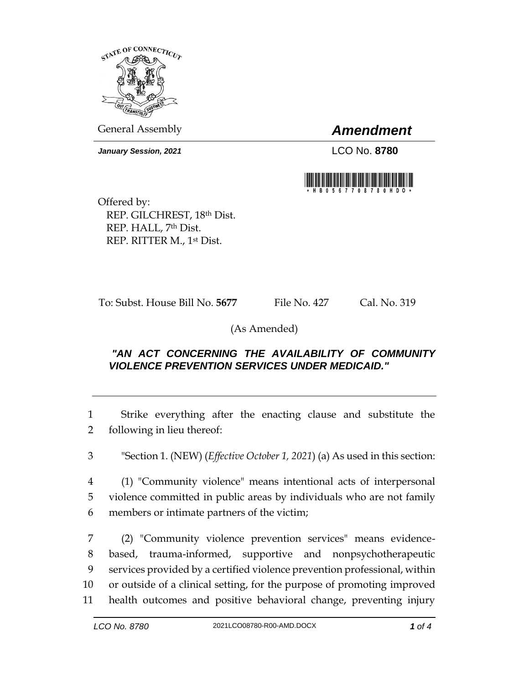

General Assembly *Amendment*

*January Session, 2021* LCO No. **8780**



Offered by: REP. GILCHREST, 18th Dist. REP. HALL, 7th Dist. REP. RITTER M., 1st Dist.

To: Subst. House Bill No. **5677** File No. 427 Cal. No. 319

(As Amended)

## *"AN ACT CONCERNING THE AVAILABILITY OF COMMUNITY VIOLENCE PREVENTION SERVICES UNDER MEDICAID."*

1 Strike everything after the enacting clause and substitute the 2 following in lieu thereof:

3 "Section 1. (NEW) (*Effective October 1, 2021*) (a) As used in this section:

4 (1) "Community violence" means intentional acts of interpersonal 5 violence committed in public areas by individuals who are not family 6 members or intimate partners of the victim;

 (2) "Community violence prevention services" means evidence- based, trauma-informed, supportive and nonpsychotherapeutic services provided by a certified violence prevention professional, within or outside of a clinical setting, for the purpose of promoting improved health outcomes and positive behavioral change, preventing injury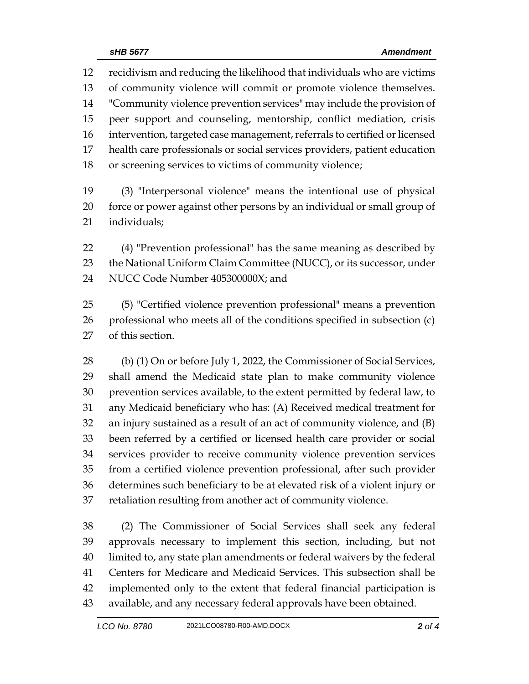recidivism and reducing the likelihood that individuals who are victims of community violence will commit or promote violence themselves. "Community violence prevention services" may include the provision of peer support and counseling, mentorship, conflict mediation, crisis intervention, targeted case management, referrals to certified or licensed health care professionals or social services providers, patient education or screening services to victims of community violence;

 (3) "Interpersonal violence" means the intentional use of physical force or power against other persons by an individual or small group of individuals;

 (4) "Prevention professional" has the same meaning as described by 23 the National Uniform Claim Committee (NUCC), or its successor, under NUCC Code Number 405300000X; and

 (5) "Certified violence prevention professional" means a prevention professional who meets all of the conditions specified in subsection (c) of this section.

28 (b) (1) On or before July 1, 2022, the Commissioner of Social Services, shall amend the Medicaid state plan to make community violence prevention services available, to the extent permitted by federal law, to any Medicaid beneficiary who has: (A) Received medical treatment for an injury sustained as a result of an act of community violence, and (B) been referred by a certified or licensed health care provider or social services provider to receive community violence prevention services from a certified violence prevention professional, after such provider determines such beneficiary to be at elevated risk of a violent injury or retaliation resulting from another act of community violence.

 (2) The Commissioner of Social Services shall seek any federal approvals necessary to implement this section, including, but not limited to, any state plan amendments or federal waivers by the federal Centers for Medicare and Medicaid Services. This subsection shall be implemented only to the extent that federal financial participation is available, and any necessary federal approvals have been obtained.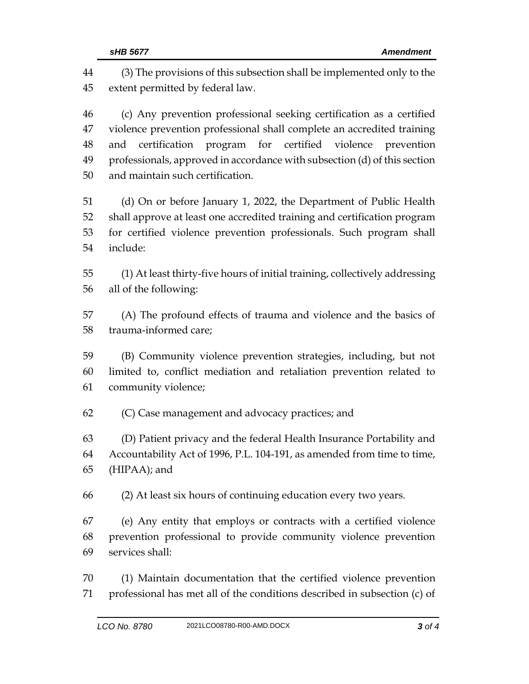(3) The provisions of this subsection shall be implemented only to the extent permitted by federal law. (c) Any prevention professional seeking certification as a certified violence prevention professional shall complete an accredited training and certification program for certified violence prevention professionals, approved in accordance with subsection (d) of this section and maintain such certification. (d) On or before January 1, 2022, the Department of Public Health shall approve at least one accredited training and certification program for certified violence prevention professionals. Such program shall include: (1) At least thirty-five hours of initial training, collectively addressing all of the following: (A) The profound effects of trauma and violence and the basics of trauma-informed care; (B) Community violence prevention strategies, including, but not limited to, conflict mediation and retaliation prevention related to community violence; (C) Case management and advocacy practices; and (D) Patient privacy and the federal Health Insurance Portability and Accountability Act of 1996, P.L. 104-191, as amended from time to time, (HIPAA); and (2) At least six hours of continuing education every two years. (e) Any entity that employs or contracts with a certified violence prevention professional to provide community violence prevention services shall: (1) Maintain documentation that the certified violence prevention professional has met all of the conditions described in subsection (c) of